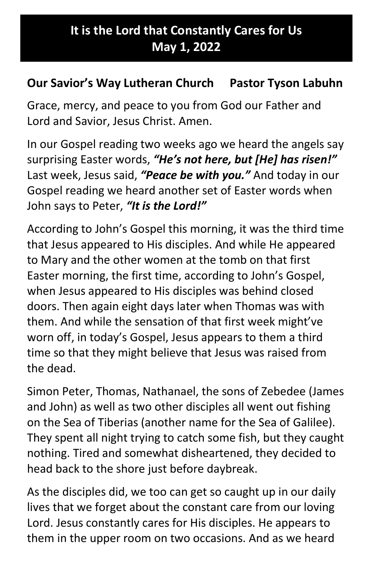## It is the Lord that Constantly Cares for Us May 1, 2022

## Our Savior's Way Lutheran Church Pastor Tyson Labuhn

Grace, mercy, and peace to you from God our Father and Lord and Savior, Jesus Christ. Amen.

In our Gospel reading two weeks ago we heard the angels say surprising Easter words, "He's not here, but [He] has risen!" Last week, Jesus said, "Peace be with you." And today in our Gospel reading we heard another set of Easter words when John says to Peter, "It is the Lord!"

According to John's Gospel this morning, it was the third time that Jesus appeared to His disciples. And while He appeared to Mary and the other women at the tomb on that first Easter morning, the first time, according to John's Gospel, when Jesus appeared to His disciples was behind closed doors. Then again eight days later when Thomas was with them. And while the sensation of that first week might've worn off, in today's Gospel, Jesus appears to them a third time so that they might believe that Jesus was raised from the dead.

Simon Peter, Thomas, Nathanael, the sons of Zebedee (James and John) as well as two other disciples all went out fishing on the Sea of Tiberias (another name for the Sea of Galilee). They spent all night trying to catch some fish, but they caught nothing. Tired and somewhat disheartened, they decided to head back to the shore just before daybreak.

As the disciples did, we too can get so caught up in our daily lives that we forget about the constant care from our loving Lord. Jesus constantly cares for His disciples. He appears to them in the upper room on two occasions. And as we heard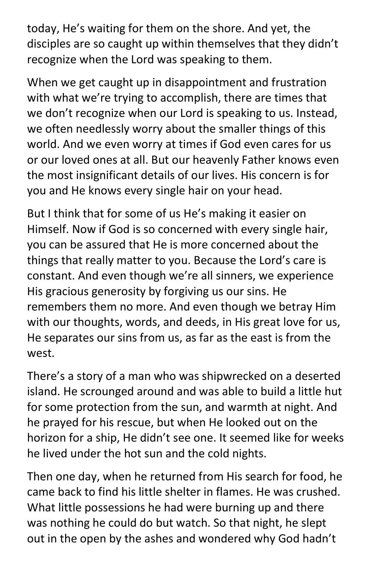today, He's waiting for them on the shore. And yet, the disciples are so caught up within themselves that they didn't recognize when the Lord was speaking to them.

When we get caught up in disappointment and frustration with what we're trying to accomplish, there are times that we don't recognize when our Lord is speaking to us. Instead, we often needlessly worry about the smaller things of this world. And we even worry at times if God even cares for us or our loved ones at all. But our heavenly Father knows even the most insignificant details of our lives. His concern is for you and He knows every single hair on your head.

But I think that for some of us He's making it easier on Himself. Now if God is so concerned with every single hair, you can be assured that He is more concerned about the things that really matter to you. Because the Lord's care is constant. And even though we're all sinners, we experience His gracious generosity by forgiving us our sins. He remembers them no more. And even though we betray Him with our thoughts, words, and deeds, in His great love for us, He separates our sins from us, as far as the east is from the west.

There's a story of a man who was shipwrecked on a deserted island. He scrounged around and was able to build a little hut for some protection from the sun, and warmth at night. And he prayed for his rescue, but when He looked out on the horizon for a ship, He didn't see one. It seemed like for weeks he lived under the hot sun and the cold nights.

Then one day, when he returned from His search for food, he came back to find his little shelter in flames. He was crushed. What little possessions he had were burning up and there was nothing he could do but watch. So that night, he slept out in the open by the ashes and wondered why God hadn't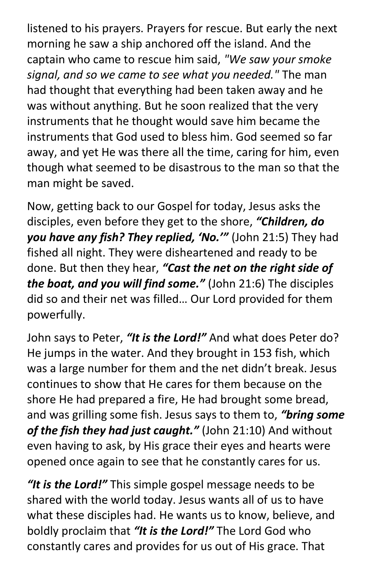listened to his prayers. Prayers for rescue. But early the next morning he saw a ship anchored off the island. And the captain who came to rescue him said, "We saw your smoke signal, and so we came to see what you needed." The man had thought that everything had been taken away and he was without anything. But he soon realized that the very instruments that he thought would save him became the instruments that God used to bless him. God seemed so far away, and yet He was there all the time, caring for him, even though what seemed to be disastrous to the man so that the man might be saved.

Now, getting back to our Gospel for today, Jesus asks the disciples, even before they get to the shore, "Children, do you have any fish? They replied, 'No.'" (John 21:5) They had fished all night. They were disheartened and ready to be done. But then they hear, "Cast the net on the right side of the boat, and you will find some." (John 21:6) The disciples did so and their net was filled… Our Lord provided for them powerfully.

John says to Peter, "It is the Lord!" And what does Peter do? He jumps in the water. And they brought in 153 fish, which was a large number for them and the net didn't break. Jesus continues to show that He cares for them because on the shore He had prepared a fire, He had brought some bread, and was grilling some fish. Jesus says to them to, "bring some of the fish they had just caught." (John 21:10) And without even having to ask, by His grace their eyes and hearts were opened once again to see that he constantly cares for us.

"It is the Lord!" This simple gospel message needs to be shared with the world today. Jesus wants all of us to have what these disciples had. He wants us to know, believe, and boldly proclaim that "It is the Lord!" The Lord God who constantly cares and provides for us out of His grace. That